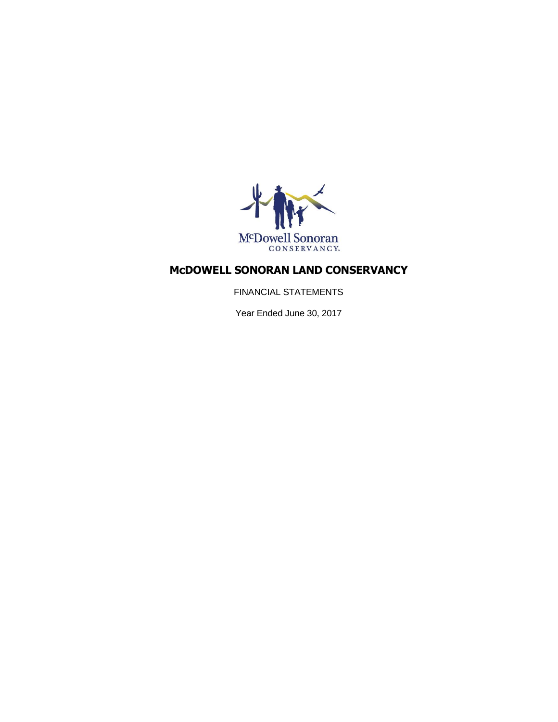

FINANCIAL STATEMENTS

Year Ended June 30, 2017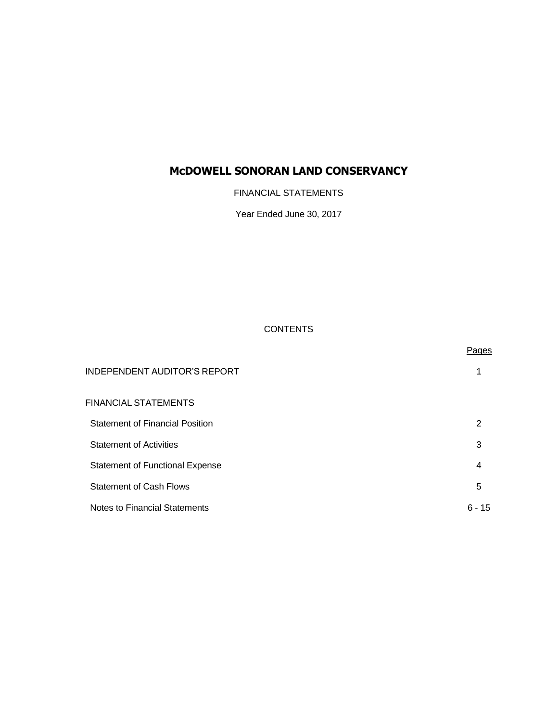FINANCIAL STATEMENTS

Year Ended June 30, 2017

### **CONTENTS**

|                                        | Pages    |
|----------------------------------------|----------|
| <b>INDEPENDENT AUDITOR'S REPORT</b>    |          |
| FINANCIAL STATEMENTS                   |          |
| <b>Statement of Financial Position</b> | 2        |
| <b>Statement of Activities</b>         | 3        |
| <b>Statement of Functional Expense</b> | 4        |
| <b>Statement of Cash Flows</b>         | 5        |
| Notes to Financial Statements          | $6 - 15$ |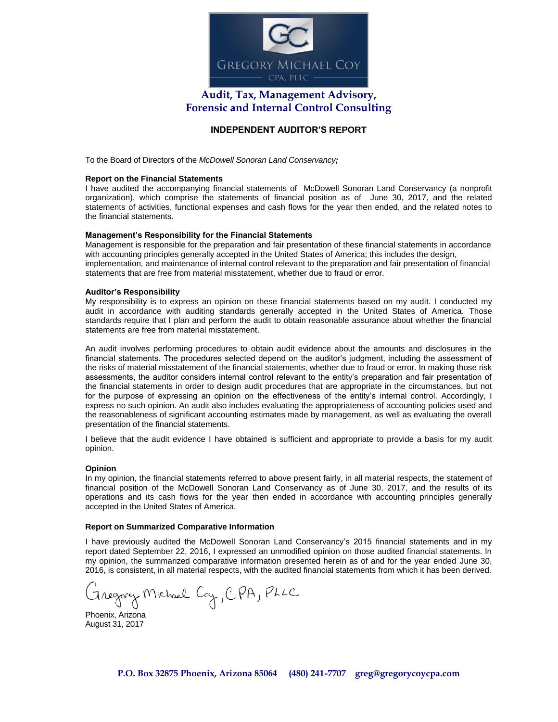

# **Audit, Tax, Management Advisory, Forensic and Internal Control Consulting**

### **INDEPENDENT AUDITOR'S REPORT**

To the Board of Directors of the *McDowell Sonoran Land Conservancy;*

#### **Report on the Financial Statements**

I have audited the accompanying financial statements of McDowell Sonoran Land Conservancy (a nonprofit organization), which comprise the statements of financial position as of June 30, 2017, and the related statements of activities, functional expenses and cash flows for the year then ended, and the related notes to the financial statements.

#### **Management's Responsibility for the Financial Statements**

Management is responsible for the preparation and fair presentation of these financial statements in accordance with accounting principles generally accepted in the United States of America; this includes the design, implementation, and maintenance of internal control relevant to the preparation and fair presentation of financial statements that are free from material misstatement, whether due to fraud or error.

#### **Auditor's Responsibility**

My responsibility is to express an opinion on these financial statements based on my audit. I conducted my audit in accordance with auditing standards generally accepted in the United States of America. Those standards require that I plan and perform the audit to obtain reasonable assurance about whether the financial statements are free from material misstatement.

An audit involves performing procedures to obtain audit evidence about the amounts and disclosures in the financial statements. The procedures selected depend on the auditor's judgment, including the assessment of the risks of material misstatement of the financial statements, whether due to fraud or error. In making those risk assessments, the auditor considers internal control relevant to the entity's preparation and fair presentation of the financial statements in order to design audit procedures that are appropriate in the circumstances, but not for the purpose of expressing an opinion on the effectiveness of the entity's internal control. Accordingly, I express no such opinion. An audit also includes evaluating the appropriateness of accounting policies used and the reasonableness of significant accounting estimates made by management, as well as evaluating the overall presentation of the financial statements.

I believe that the audit evidence I have obtained is sufficient and appropriate to provide a basis for my audit opinion.

#### **Opinion**

In my opinion, the financial statements referred to above present fairly, in all material respects, the statement of financial position of the McDowell Sonoran Land Conservancy as of June 30, 2017, and the results of its operations and its cash flows for the year then ended in accordance with accounting principles generally accepted in the United States of America.

#### **Report on Summarized Comparative Information**

I have previously audited the McDowell Sonoran Land Conservancy's 2015 financial statements and in my report dated September 22, 2016, I expressed an unmodified opinion on those audited financial statements. In my opinion, the summarized comparative information presented herein as of and for the year ended June 30, 2016, is consistent, in all material respects, with the audited financial statements from which it has been derived.

Gregory Michael Cay, CPA, PLLC

Phoenix, Arizona August 31, 2017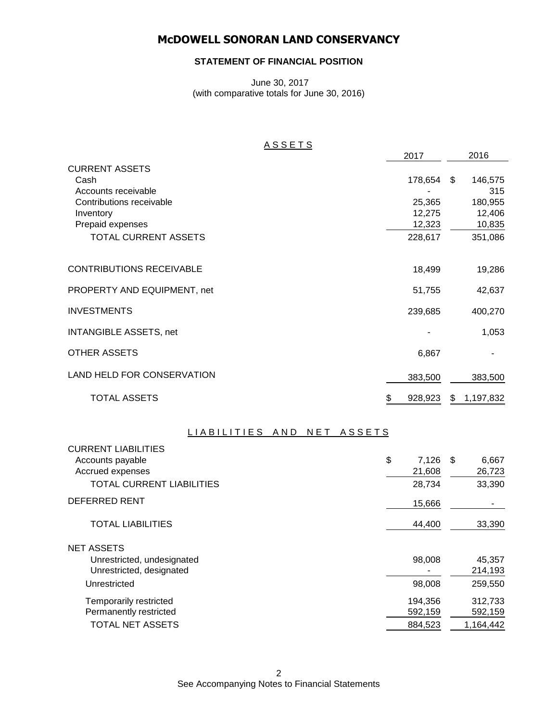### **STATEMENT OF FINANCIAL POSITION**

June 30, 2017 (with comparative totals for June 30, 2016)

### A S S E T S

|                                   | 2017          | 2016           |
|-----------------------------------|---------------|----------------|
| <b>CURRENT ASSETS</b>             |               |                |
| Cash                              | 178,654 \$    | 146,575        |
| Accounts receivable               |               | 315            |
| Contributions receivable          | 25,365        | 180,955        |
| Inventory                         | 12,275        | 12,406         |
| Prepaid expenses                  | 12,323        | 10,835         |
| <b>TOTAL CURRENT ASSETS</b>       | 228,617       | 351,086        |
| <b>CONTRIBUTIONS RECEIVABLE</b>   | 18,499        | 19,286         |
| PROPERTY AND EQUIPMENT, net       | 51,755        | 42,637         |
| <b>INVESTMENTS</b>                | 239,685       | 400,270        |
| <b>INTANGIBLE ASSETS, net</b>     |               | 1,053          |
| <b>OTHER ASSETS</b>               | 6,867         |                |
| <b>LAND HELD FOR CONSERVATION</b> | 383,500       | 383,500        |
| <b>TOTAL ASSETS</b>               | \$<br>928,923 | 1,197,832<br>S |

### LIABILITIES AND NET ASSETS

| <b>CURRENT LIABILITIES</b>       |             |               |
|----------------------------------|-------------|---------------|
| Accounts payable                 | \$<br>7,126 | 6,667<br>- \$ |
| Accrued expenses                 | 21,608      | 26,723        |
| <b>TOTAL CURRENT LIABILITIES</b> | 28,734      | 33,390        |
| <b>DEFERRED RENT</b>             | 15,666      |               |
| <b>TOTAL LIABILITIES</b>         | 44,400      | 33,390        |
| <b>NET ASSETS</b>                |             |               |
| Unrestricted, undesignated       | 98,008      | 45,357        |
| Unrestricted, designated         |             | 214,193       |
| Unrestricted                     | 98,008      | 259,550       |
| Temporarily restricted           | 194,356     | 312,733       |
| Permanently restricted           | 592,159     | 592,159       |
| TOTAL NET ASSETS                 | 884,523     | 1,164,442     |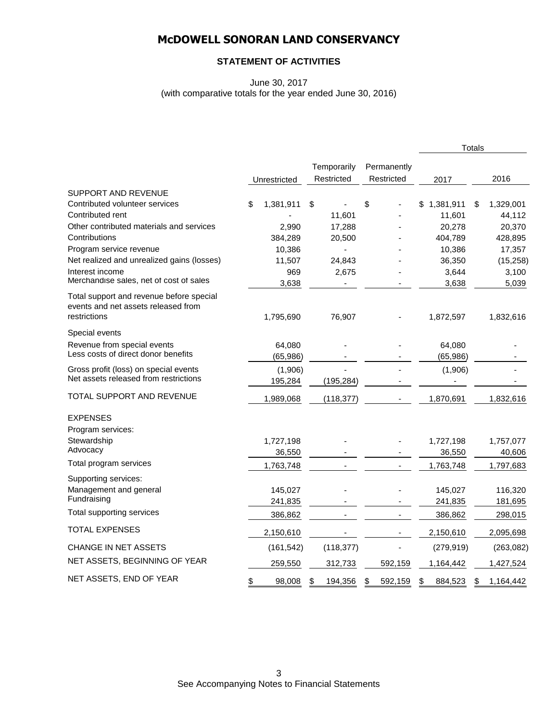### **STATEMENT OF ACTIVITIES**

June 30, 2017 (with comparative totals for the year ended June 30, 2016)

|                                                                                 |                 |               |               |                 | <b>Totals</b> |            |
|---------------------------------------------------------------------------------|-----------------|---------------|---------------|-----------------|---------------|------------|
|                                                                                 |                 | Temporarily   | Permanently   |                 |               |            |
|                                                                                 | Unrestricted    | Restricted    | Restricted    | 2017            |               | 2016       |
| <b>SUPPORT AND REVENUE</b>                                                      |                 |               |               |                 |               |            |
| Contributed volunteer services                                                  | \$<br>1,381,911 | \$            | \$            | \$<br>1,381,911 | \$            | 1,329,001  |
| Contributed rent                                                                |                 | 11,601        |               | 11,601          |               | 44,112     |
| Other contributed materials and services                                        | 2,990           | 17,288        |               | 20,278          |               | 20,370     |
| Contributions                                                                   | 384,289         | 20,500        |               | 404,789         |               | 428,895    |
| Program service revenue                                                         | 10,386          |               |               | 10,386          |               | 17,357     |
| Net realized and unrealized gains (losses)                                      | 11,507          | 24,843        |               | 36,350          |               | (15, 258)  |
| Interest income                                                                 | 969             | 2,675         |               | 3,644           |               | 3,100      |
| Merchandise sales, net of cost of sales                                         | 3,638           |               |               | 3,638           |               | 5,039      |
| Total support and revenue before special<br>events and net assets released from |                 |               |               |                 |               |            |
| restrictions                                                                    | 1,795,690       | 76,907        |               | 1,872,597       |               | 1,832,616  |
| Special events                                                                  |                 |               |               |                 |               |            |
| Revenue from special events                                                     | 64,080          |               |               | 64,080          |               |            |
| Less costs of direct donor benefits                                             | (65, 986)       |               |               | (65, 986)       |               |            |
| Gross profit (loss) on special events                                           | (1,906)         |               |               | (1,906)         |               |            |
| Net assets released from restrictions                                           | 195,284         | (195, 284)    |               |                 |               |            |
| TOTAL SUPPORT AND REVENUE                                                       | 1,989,068       | (118, 377)    |               | 1,870,691       |               | 1,832,616  |
| <b>EXPENSES</b>                                                                 |                 |               |               |                 |               |            |
| Program services:                                                               |                 |               |               |                 |               |            |
| Stewardship                                                                     | 1,727,198       |               |               | 1,727,198       |               | 1,757,077  |
| Advocacy                                                                        | 36,550          |               |               | 36,550          |               | 40,606     |
| Total program services                                                          | 1,763,748       |               |               | 1,763,748       |               | 1,797,683  |
| Supporting services:                                                            |                 |               |               |                 |               |            |
| Management and general                                                          | 145,027         |               |               | 145,027         |               | 116,320    |
| Fundraising                                                                     | 241,835         |               |               | 241,835         |               | 181,695    |
| Total supporting services                                                       | 386,862         |               |               | 386,862         |               | 298,015    |
| <b>TOTAL EXPENSES</b>                                                           | 2,150,610       |               |               | 2,150,610       |               | 2,095,698  |
| <b>CHANGE IN NET ASSETS</b>                                                     | (161, 542)      | (118, 377)    |               | (279, 919)      |               | (263, 082) |
| NET ASSETS, BEGINNING OF YEAR                                                   | 259,550         | 312,733       | 592,159       | 1,164,442       |               | 1,427,524  |
| NET ASSETS, END OF YEAR                                                         | \$<br>98,008    | \$<br>194,356 | \$<br>592,159 | \$<br>884,523   | \$            | 1,164,442  |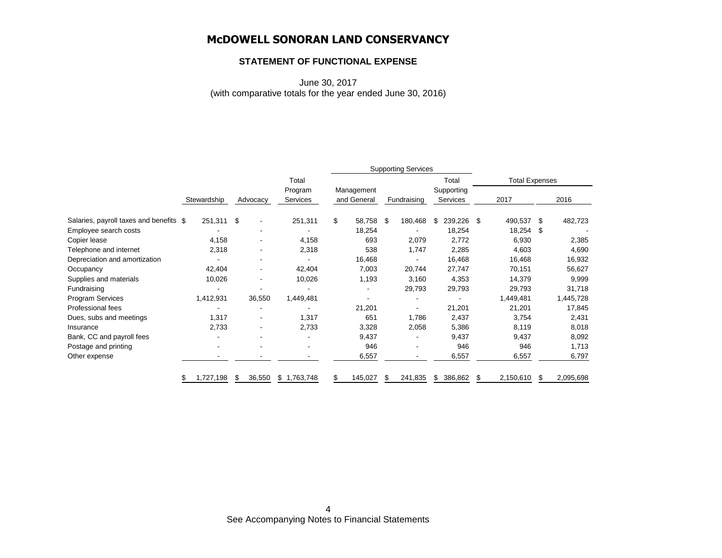### **STATEMENT OF FUNCTIONAL EXPENSE**

June 30, 2017 (with comparative totals for the year ended June 30, 2016)

|                                         |                |             | <b>Supporting Services</b> |    |                           |    |             |                        |                       |           |      |           |
|-----------------------------------------|----------------|-------------|----------------------------|----|---------------------------|----|-------------|------------------------|-----------------------|-----------|------|-----------|
|                                         |                |             | Total                      |    |                           |    |             | Total                  | <b>Total Expenses</b> |           |      |           |
|                                         | Stewardship    | Advocacy    | Program<br>Services        |    | Management<br>and General |    | Fundraising | Supporting<br>Services |                       | 2017      |      | 2016      |
| Salaries, payroll taxes and benefits \$ | 251,311 \$     |             | 251,311                    | \$ | 58,758                    | \$ | 180,468     | 239,226<br>\$          | -\$                   | 490,537   | - \$ | 482,723   |
| Employee search costs                   |                |             |                            |    | 18,254                    |    |             | 18,254                 |                       | 18,254    | S    |           |
| Copier lease                            | 4,158          |             | 4,158                      |    | 693                       |    | 2,079       | 2,772                  |                       | 6,930     |      | 2,385     |
| Telephone and internet                  | 2,318          |             | 2,318                      |    | 538                       |    | 1,747       | 2,285                  |                       | 4,603     |      | 4,690     |
| Depreciation and amortization           |                |             |                            |    | 16,468                    |    |             | 16,468                 |                       | 16,468    |      | 16,932    |
| Occupancy                               | 42,404         | ٠           | 42,404                     |    | 7,003                     |    | 20,744      | 27,747                 |                       | 70,151    |      | 56,627    |
| Supplies and materials                  | 10,026         | ۰           | 10,026                     |    | 1,193                     |    | 3,160       | 4,353                  |                       | 14,379    |      | 9,999     |
| Fundraising                             |                |             |                            |    |                           |    | 29,793      | 29,793                 |                       | 29,793    |      | 31,718    |
| Program Services                        | 1,412,931      | 36,550      | 1,449,481                  |    |                           |    |             |                        |                       | 1,449,481 |      | 1,445,728 |
| Professional fees                       |                |             |                            |    | 21,201                    |    |             | 21,201                 |                       | 21,201    |      | 17,845    |
| Dues, subs and meetings                 | 1,317          |             | 1,317                      |    | 651                       |    | 1,786       | 2,437                  |                       | 3,754     |      | 2,431     |
| Insurance                               | 2,733          |             | 2,733                      |    | 3,328                     |    | 2,058       | 5,386                  |                       | 8,119     |      | 8,018     |
| Bank, CC and payroll fees               |                | ٠           |                            |    | 9,437                     |    |             | 9,437                  |                       | 9,437     |      | 8,092     |
| Postage and printing                    |                |             | -                          |    | 946                       |    |             | 946                    |                       | 946       |      | 1,713     |
| Other expense                           |                |             |                            |    | 6,557                     |    |             | 6,557                  |                       | 6,557     |      | 6,797     |
|                                         | 1,727,198<br>S | 36,550<br>S | \$1,763,748                | \$ | 145,027                   | \$ | 241,835     | \$<br>386,862          | \$                    | 2,150,610 | \$   | 2,095,698 |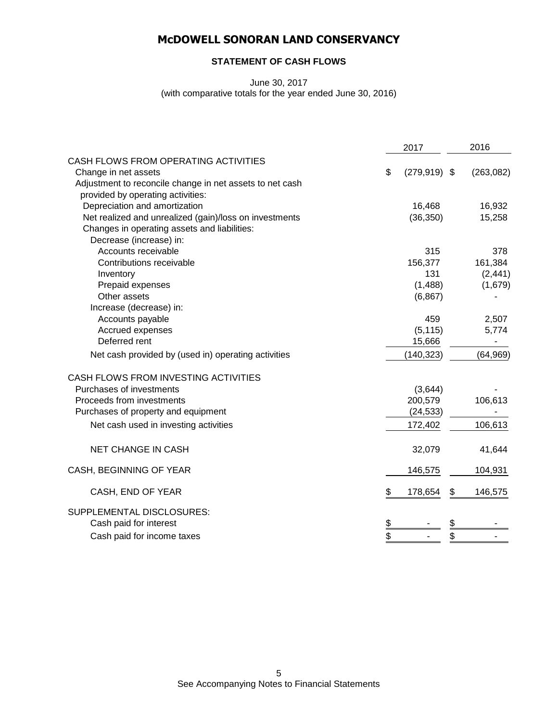### **STATEMENT OF CASH FLOWS**

June 30, 2017

(with comparative totals for the year ended June 30, 2016)

|                                                          |               | 2017            | 2016 |            |  |
|----------------------------------------------------------|---------------|-----------------|------|------------|--|
| CASH FLOWS FROM OPERATING ACTIVITIES                     |               |                 |      |            |  |
| Change in net assets                                     | \$            | $(279, 919)$ \$ |      | (263, 082) |  |
| Adjustment to reconcile change in net assets to net cash |               |                 |      |            |  |
| provided by operating activities:                        |               |                 |      |            |  |
| Depreciation and amortization                            |               | 16,468          |      | 16,932     |  |
| Net realized and unrealized (gain)/loss on investments   |               | (36, 350)       |      | 15,258     |  |
| Changes in operating assets and liabilities:             |               |                 |      |            |  |
| Decrease (increase) in:                                  |               |                 |      |            |  |
| Accounts receivable                                      |               | 315             |      | 378        |  |
| Contributions receivable                                 |               | 156,377         |      | 161,384    |  |
| Inventory                                                |               | 131             |      | (2, 441)   |  |
| Prepaid expenses                                         |               | (1,488)         |      | (1,679)    |  |
| Other assets                                             |               | (6, 867)        |      |            |  |
| Increase (decrease) in:                                  |               |                 |      |            |  |
| Accounts payable                                         |               | 459             |      | 2,507      |  |
| Accrued expenses                                         |               | (5, 115)        |      | 5,774      |  |
| Deferred rent                                            |               | 15,666          |      |            |  |
| Net cash provided by (used in) operating activities      |               | (140, 323)      |      | (64, 969)  |  |
| CASH FLOWS FROM INVESTING ACTIVITIES                     |               |                 |      |            |  |
| Purchases of investments                                 |               | (3,644)         |      |            |  |
| Proceeds from investments                                |               | 200,579         |      | 106,613    |  |
| Purchases of property and equipment                      |               | (24, 533)       |      |            |  |
| Net cash used in investing activities                    |               | 172,402         |      | 106,613    |  |
| <b>NET CHANGE IN CASH</b>                                |               | 32,079          |      | 41,644     |  |
| CASH, BEGINNING OF YEAR                                  |               | 146,575         |      | 104,931    |  |
| CASH, END OF YEAR                                        | \$            | 178,654         | \$   | 146,575    |  |
| SUPPLEMENTAL DISCLOSURES:                                |               |                 |      |            |  |
| Cash paid for interest                                   | $\frac{3}{2}$ |                 | \$   |            |  |
| Cash paid for income taxes                               | \$            |                 | \$   |            |  |
|                                                          |               |                 |      |            |  |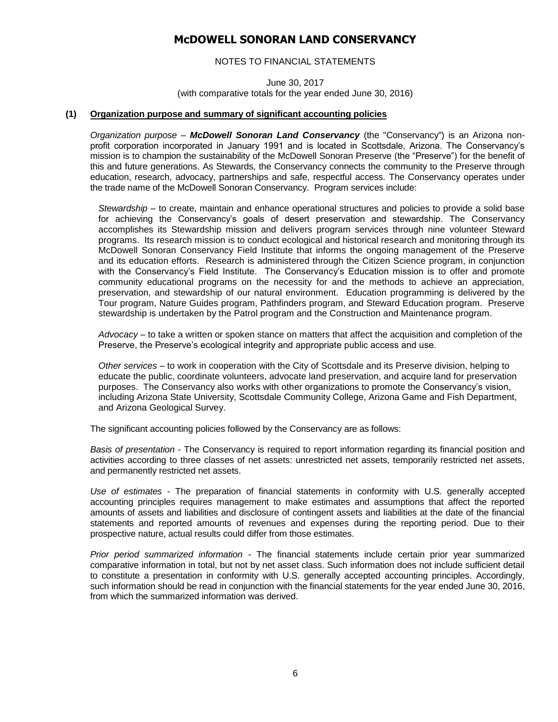NOTES TO FINANCIAL STATEMENTS

June 30, 2017 (with comparative totals for the year ended June 30, 2016)

#### **(1) Organization purpose and summary of significant accounting policies**

*Organization purpose* – *McDowell Sonoran Land Conservancy* (the "Conservancy") is an Arizona nonprofit corporation incorporated in January 1991 and is located in Scottsdale, Arizona. The Conservancy's mission is to champion the sustainability of the McDowell Sonoran Preserve (the "Preserve") for the benefit of this and future generations. As Stewards, the Conservancy connects the community to the Preserve through education, research, advocacy, partnerships and safe, respectful access. The Conservancy operates under the trade name of the McDowell Sonoran Conservancy. Program services include:

*Stewardship –* to create, maintain and enhance operational structures and policies to provide a solid base for achieving the Conservancy's goals of desert preservation and stewardship. The Conservancy accomplishes its Stewardship mission and delivers program services through nine volunteer Steward programs. Its research mission is to conduct ecological and historical research and monitoring through its McDowell Sonoran Conservancy Field Institute that informs the ongoing management of the Preserve and its education efforts. Research is administered through the Citizen Science program, in conjunction with the Conservancy's Field Institute. The Conservancy's Education mission is to offer and promote community educational programs on the necessity for and the methods to achieve an appreciation, preservation, and stewardship of our natural environment. Education programming is delivered by the Tour program, Nature Guides program, Pathfinders program, and Steward Education program. Preserve stewardship is undertaken by the Patrol program and the Construction and Maintenance program.

*Advocacy* – to take a written or spoken stance on matters that affect the acquisition and completion of the Preserve, the Preserve's ecological integrity and appropriate public access and use.

*Other services* – to work in cooperation with the City of Scottsdale and its Preserve division, helping to educate the public, coordinate volunteers, advocate land preservation, and acquire land for preservation purposes. The Conservancy also works with other organizations to promote the Conservancy's vision, including Arizona State University, Scottsdale Community College, Arizona Game and Fish Department, and Arizona Geological Survey.

The significant accounting policies followed by the Conservancy are as follows:

*Basis of presentation* - The Conservancy is required to report information regarding its financial position and activities according to three classes of net assets: unrestricted net assets, temporarily restricted net assets, and permanently restricted net assets.

*Use of estimates* - The preparation of financial statements in conformity with U.S. generally accepted accounting principles requires management to make estimates and assumptions that affect the reported amounts of assets and liabilities and disclosure of contingent assets and liabilities at the date of the financial statements and reported amounts of revenues and expenses during the reporting period. Due to their prospective nature, actual results could differ from those estimates.

*Prior period summarized information* - The financial statements include certain prior year summarized comparative information in total, but not by net asset class. Such information does not include sufficient detail to constitute a presentation in conformity with U.S. generally accepted accounting principles. Accordingly, such information should be read in conjunction with the financial statements for the year ended June 30, 2016, from which the summarized information was derived.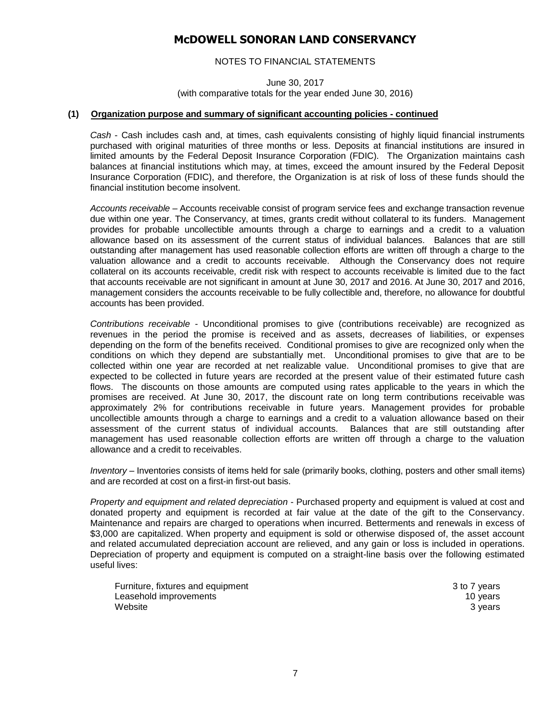### NOTES TO FINANCIAL STATEMENTS

June 30, 2017 (with comparative totals for the year ended June 30, 2016)

#### **(1) Organization purpose and summary of significant accounting policies - continued**

*Cash* - Cash includes cash and, at times, cash equivalents consisting of highly liquid financial instruments purchased with original maturities of three months or less. Deposits at financial institutions are insured in limited amounts by the Federal Deposit Insurance Corporation (FDIC). The Organization maintains cash balances at financial institutions which may, at times, exceed the amount insured by the Federal Deposit Insurance Corporation (FDIC), and therefore, the Organization is at risk of loss of these funds should the financial institution become insolvent.

*Accounts receivable* – Accounts receivable consist of program service fees and exchange transaction revenue due within one year. The Conservancy, at times, grants credit without collateral to its funders. Management provides for probable uncollectible amounts through a charge to earnings and a credit to a valuation allowance based on its assessment of the current status of individual balances. Balances that are still outstanding after management has used reasonable collection efforts are written off through a charge to the valuation allowance and a credit to accounts receivable. Although the Conservancy does not require collateral on its accounts receivable, credit risk with respect to accounts receivable is limited due to the fact that accounts receivable are not significant in amount at June 30, 2017 and 2016. At June 30, 2017 and 2016, management considers the accounts receivable to be fully collectible and, therefore, no allowance for doubtful accounts has been provided.

*Contributions receivable* - Unconditional promises to give (contributions receivable) are recognized as revenues in the period the promise is received and as assets, decreases of liabilities, or expenses depending on the form of the benefits received. Conditional promises to give are recognized only when the conditions on which they depend are substantially met. Unconditional promises to give that are to be collected within one year are recorded at net realizable value. Unconditional promises to give that are expected to be collected in future years are recorded at the present value of their estimated future cash flows. The discounts on those amounts are computed using rates applicable to the years in which the promises are received. At June 30, 2017, the discount rate on long term contributions receivable was approximately 2% for contributions receivable in future years. Management provides for probable uncollectible amounts through a charge to earnings and a credit to a valuation allowance based on their assessment of the current status of individual accounts. Balances that are still outstanding after management has used reasonable collection efforts are written off through a charge to the valuation allowance and a credit to receivables.

*Inventory* – Inventories consists of items held for sale (primarily books, clothing, posters and other small items) and are recorded at cost on a first-in first-out basis.

*Property and equipment and related depreciation* - Purchased property and equipment is valued at cost and donated property and equipment is recorded at fair value at the date of the gift to the Conservancy. Maintenance and repairs are charged to operations when incurred. Betterments and renewals in excess of \$3,000 are capitalized. When property and equipment is sold or otherwise disposed of, the asset account and related accumulated depreciation account are relieved, and any gain or loss is included in operations. Depreciation of property and equipment is computed on a straight-line basis over the following estimated useful lives:

Furniture, fixtures and equipment 3 to 7 years Leasehold improvements **10** years 10 years 10 years 10 years 10 years 10 years 10 years 10 years 10 years 10 years 10 years 10 years 10 years 10 years 10 years 10 years 10 years 10 years 10 years 10 years 10 years 10 years website 3 years 3 years 3 years 3 years 3 years 3 years 3 years 3 years 3 years 3 years 3 years 3 years 3 years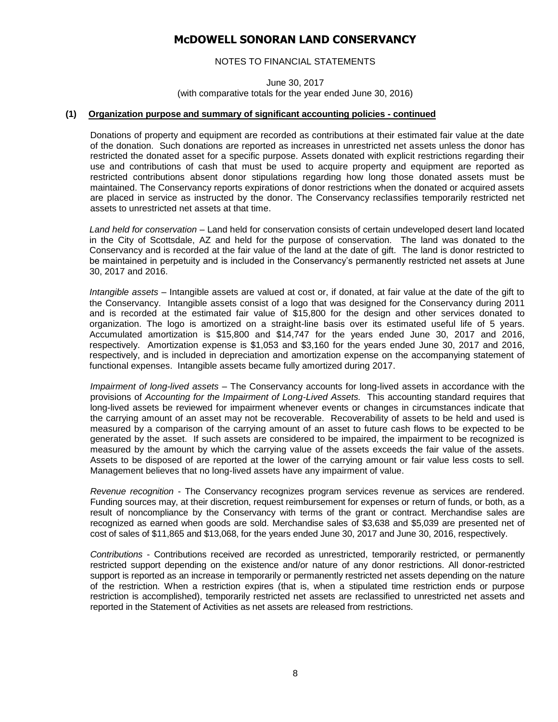### NOTES TO FINANCIAL STATEMENTS

June 30, 2017 (with comparative totals for the year ended June 30, 2016)

#### **(1) Organization purpose and summary of significant accounting policies - continued**

Donations of property and equipment are recorded as contributions at their estimated fair value at the date of the donation. Such donations are reported as increases in unrestricted net assets unless the donor has restricted the donated asset for a specific purpose. Assets donated with explicit restrictions regarding their use and contributions of cash that must be used to acquire property and equipment are reported as restricted contributions absent donor stipulations regarding how long those donated assets must be maintained. The Conservancy reports expirations of donor restrictions when the donated or acquired assets are placed in service as instructed by the donor. The Conservancy reclassifies temporarily restricted net assets to unrestricted net assets at that time.

*Land held for conservation* – Land held for conservation consists of certain undeveloped desert land located in the City of Scottsdale, AZ and held for the purpose of conservation. The land was donated to the Conservancy and is recorded at the fair value of the land at the date of gift. The land is donor restricted to be maintained in perpetuity and is included in the Conservancy's permanently restricted net assets at June 30, 2017 and 2016.

*Intangible assets* – Intangible assets are valued at cost or, if donated, at fair value at the date of the gift to the Conservancy. Intangible assets consist of a logo that was designed for the Conservancy during 2011 and is recorded at the estimated fair value of \$15,800 for the design and other services donated to organization. The logo is amortized on a straight-line basis over its estimated useful life of 5 years. Accumulated amortization is \$15,800 and \$14,747 for the years ended June 30, 2017 and 2016, respectively. Amortization expense is \$1,053 and \$3,160 for the years ended June 30, 2017 and 2016, respectively, and is included in depreciation and amortization expense on the accompanying statement of functional expenses. Intangible assets became fully amortized during 2017.

*Impairment of long-lived assets* – The Conservancy accounts for long-lived assets in accordance with the provisions of *Accounting for the Impairment of Long-Lived Assets.* This accounting standard requires that long-lived assets be reviewed for impairment whenever events or changes in circumstances indicate that the carrying amount of an asset may not be recoverable. Recoverability of assets to be held and used is measured by a comparison of the carrying amount of an asset to future cash flows to be expected to be generated by the asset. If such assets are considered to be impaired, the impairment to be recognized is measured by the amount by which the carrying value of the assets exceeds the fair value of the assets. Assets to be disposed of are reported at the lower of the carrying amount or fair value less costs to sell. Management believes that no long-lived assets have any impairment of value.

*Revenue recognition* - The Conservancy recognizes program services revenue as services are rendered. Funding sources may, at their discretion, request reimbursement for expenses or return of funds, or both, as a result of noncompliance by the Conservancy with terms of the grant or contract. Merchandise sales are recognized as earned when goods are sold. Merchandise sales of \$3,638 and \$5,039 are presented net of cost of sales of \$11,865 and \$13,068, for the years ended June 30, 2017 and June 30, 2016, respectively.

*Contributions* - Contributions received are recorded as unrestricted, temporarily restricted, or permanently restricted support depending on the existence and/or nature of any donor restrictions. All donor-restricted support is reported as an increase in temporarily or permanently restricted net assets depending on the nature of the restriction. When a restriction expires (that is, when a stipulated time restriction ends or purpose restriction is accomplished), temporarily restricted net assets are reclassified to unrestricted net assets and reported in the Statement of Activities as net assets are released from restrictions.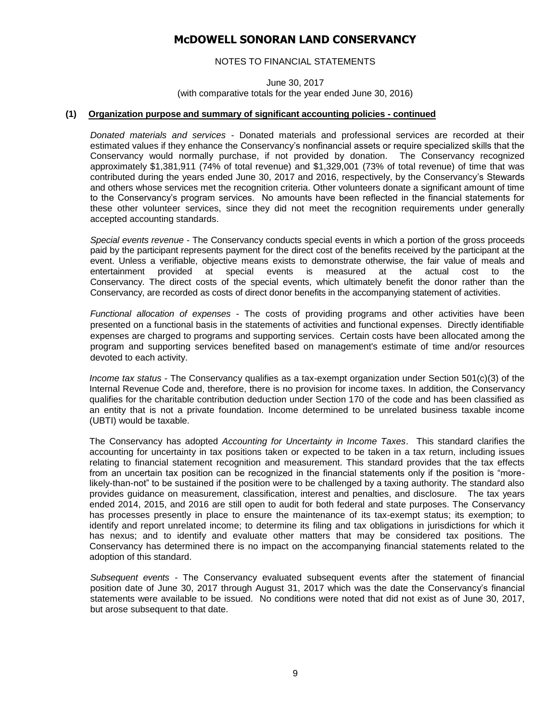### NOTES TO FINANCIAL STATEMENTS

June 30, 2017 (with comparative totals for the year ended June 30, 2016)

#### **(1) Organization purpose and summary of significant accounting policies - continued**

*Donated materials and services* - Donated materials and professional services are recorded at their estimated values if they enhance the Conservancy's nonfinancial assets or require specialized skills that the Conservancy would normally purchase, if not provided by donation. The Conservancy recognized approximately \$1,381,911 (74% of total revenue) and \$1,329,001 (73% of total revenue) of time that was contributed during the years ended June 30, 2017 and 2016, respectively, by the Conservancy's Stewards and others whose services met the recognition criteria. Other volunteers donate a significant amount of time to the Conservancy's program services. No amounts have been reflected in the financial statements for these other volunteer services, since they did not meet the recognition requirements under generally accepted accounting standards.

*Special events revenue* - The Conservancy conducts special events in which a portion of the gross proceeds paid by the participant represents payment for the direct cost of the benefits received by the participant at the event. Unless a verifiable, objective means exists to demonstrate otherwise, the fair value of meals and entertainment provided at special events is measured at the actual cost to the Conservancy. The direct costs of the special events, which ultimately benefit the donor rather than the Conservancy, are recorded as costs of direct donor benefits in the accompanying statement of activities.

*Functional allocation of expenses* - The costs of providing programs and other activities have been presented on a functional basis in the statements of activities and functional expenses. Directly identifiable expenses are charged to programs and supporting services. Certain costs have been allocated among the program and supporting services benefited based on management's estimate of time and/or resources devoted to each activity.

*Income tax status* - The Conservancy qualifies as a tax-exempt organization under Section 501(c)(3) of the Internal Revenue Code and, therefore, there is no provision for income taxes. In addition, the Conservancy qualifies for the charitable contribution deduction under Section 170 of the code and has been classified as an entity that is not a private foundation. Income determined to be unrelated business taxable income (UBTI) would be taxable.

The Conservancy has adopted *Accounting for Uncertainty in Income Taxes*. This standard clarifies the accounting for uncertainty in tax positions taken or expected to be taken in a tax return, including issues relating to financial statement recognition and measurement. This standard provides that the tax effects from an uncertain tax position can be recognized in the financial statements only if the position is "morelikely-than-not" to be sustained if the position were to be challenged by a taxing authority. The standard also provides guidance on measurement, classification, interest and penalties, and disclosure. The tax years ended 2014, 2015, and 2016 are still open to audit for both federal and state purposes. The Conservancy has processes presently in place to ensure the maintenance of its tax-exempt status; its exemption; to identify and report unrelated income; to determine its filing and tax obligations in jurisdictions for which it has nexus; and to identify and evaluate other matters that may be considered tax positions. The Conservancy has determined there is no impact on the accompanying financial statements related to the adoption of this standard.

*Subsequent events -* The Conservancy evaluated subsequent events after the statement of financial position date of June 30, 2017 through August 31, 2017 which was the date the Conservancy's financial statements were available to be issued. No conditions were noted that did not exist as of June 30, 2017, but arose subsequent to that date.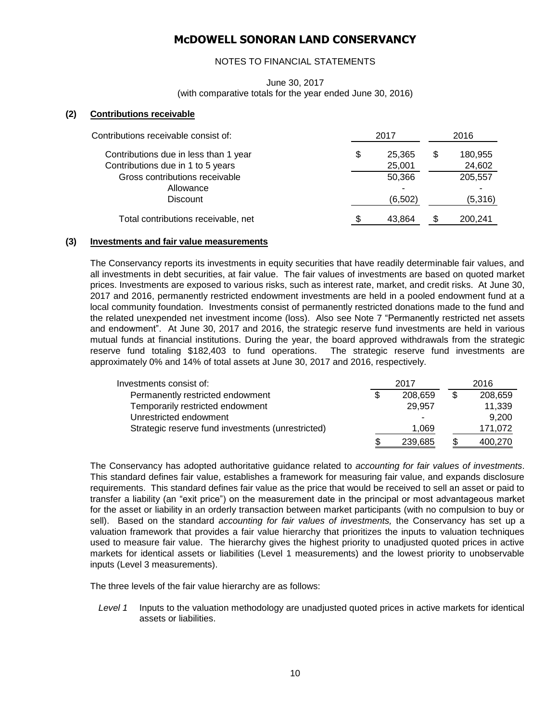### NOTES TO FINANCIAL STATEMENTS

### June 30, 2017 (with comparative totals for the year ended June 30, 2016)

#### **(2) Contributions receivable**

| Contributions receivable consist of:                                       | 2017                   | 2016 |                    |  |
|----------------------------------------------------------------------------|------------------------|------|--------------------|--|
| Contributions due in less than 1 year<br>Contributions due in 1 to 5 years | \$<br>25,365<br>25,001 |      | 180,955<br>24,602  |  |
| Gross contributions receivable<br>Allowance<br><b>Discount</b>             | 50,366<br>(6,502)      |      | 205,557<br>(5,316) |  |
| Total contributions receivable, net                                        | 43.864                 |      | 200.241            |  |

#### **(3) Investments and fair value measurements**

The Conservancy reports its investments in equity securities that have readily determinable fair values, and all investments in debt securities, at fair value. The fair values of investments are based on quoted market prices. Investments are exposed to various risks, such as interest rate, market, and credit risks. At June 30, 2017 and 2016, permanently restricted endowment investments are held in a pooled endowment fund at a local community foundation. Investments consist of permanently restricted donations made to the fund and the related unexpended net investment income (loss). Also see Note 7 "Permanently restricted net assets and endowment". At June 30, 2017 and 2016, the strategic reserve fund investments are held in various mutual funds at financial institutions. During the year, the board approved withdrawals from the strategic reserve fund totaling \$182,403 to fund operations. The strategic reserve fund investments are approximately 0% and 14% of total assets at June 30, 2017 and 2016, respectively.

| Investments consist of:                           | 2017          | 2016    |  |  |
|---------------------------------------------------|---------------|---------|--|--|
| Permanently restricted endowment                  | \$<br>208,659 | 208,659 |  |  |
| Temporarily restricted endowment                  | 29.957        | 11,339  |  |  |
| Unrestricted endowment                            |               | 9.200   |  |  |
| Strategic reserve fund investments (unrestricted) | 1,069         | 171,072 |  |  |
|                                                   | 239,685       | 400,270 |  |  |

The Conservancy has adopted authoritative guidance related to *accounting for fair values of investments*. This standard defines fair value, establishes a framework for measuring fair value, and expands disclosure requirements. This standard defines fair value as the price that would be received to sell an asset or paid to transfer a liability (an "exit price") on the measurement date in the principal or most advantageous market for the asset or liability in an orderly transaction between market participants (with no compulsion to buy or sell). Based on the standard *accounting for fair values of investments,* the Conservancy has set up a valuation framework that provides a fair value hierarchy that prioritizes the inputs to valuation techniques used to measure fair value. The hierarchy gives the highest priority to unadjusted quoted prices in active markets for identical assets or liabilities (Level 1 measurements) and the lowest priority to unobservable inputs (Level 3 measurements).

The three levels of the fair value hierarchy are as follows:

*Level 1* Inputs to the valuation methodology are unadjusted quoted prices in active markets for identical assets or liabilities.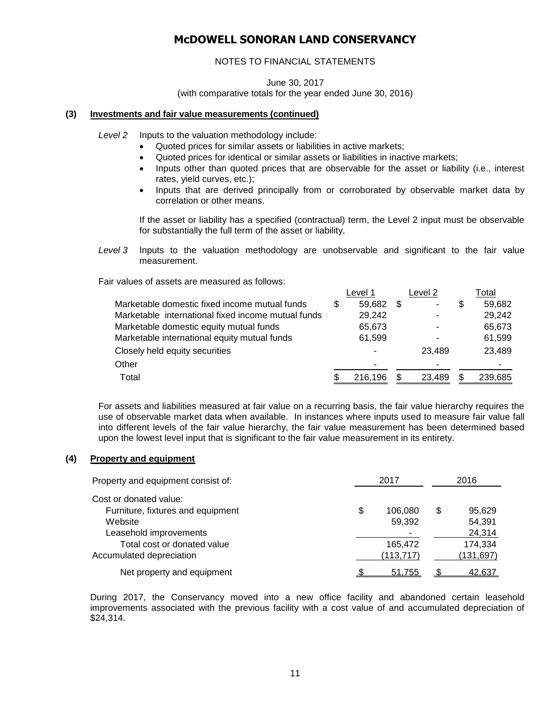### NOTES TO FINANCIAL STATEMENTS

June 30, 2017 (with comparative totals for the year ended June 30, 2016)

### **(3) Investments and fair value measurements (continued)**

*Level 2* Inputs to the valuation methodology include:

- Quoted prices for similar assets or liabilities in active markets;
- Quoted prices for identical or similar assets or liabilities in inactive markets;
- Inputs other than quoted prices that are observable for the asset or liability (i.e., interest rates, yield curves, etc.);
- Inputs that are derived principally from or corroborated by observable market data by correlation or other means.

If the asset or liability has a specified (contractual) term, the Level 2 input must be observable for substantially the full term of the asset or liability.

*Level 3* Inputs to the valuation methodology are unobservable and significant to the fair value measurement.

Fair values of assets are measured as follows:

|                                                    |   | Level 1 |     | Level 2 |   | Total   |
|----------------------------------------------------|---|---------|-----|---------|---|---------|
| Marketable domestic fixed income mutual funds      | S | 59,682  | \$. | ۰       | S | 59,682  |
| Marketable international fixed income mutual funds |   | 29,242  |     |         |   | 29,242  |
| Marketable domestic equity mutual funds            |   | 65,673  |     |         |   | 65,673  |
| Marketable international equity mutual funds       |   | 61,599  |     | ۰       |   | 61,599  |
| Closely held equity securities                     |   |         |     | 23.489  |   | 23,489  |
| Other                                              |   |         |     |         |   |         |
| Total                                              |   | 216,196 |     | 23,489  |   | 239,685 |

For assets and liabilities measured at fair value on a recurring basis, the fair value hierarchy requires the use of observable market data when available. In instances where inputs used to measure fair value fall into different levels of the fair value hierarchy, the fair value measurement has been determined based upon the lowest level input that is significant to the fair value measurement in its entirety.

### **(4) Property and equipment**

| Property and equipment consist of: | 2017          | 2016         |  |  |
|------------------------------------|---------------|--------------|--|--|
| Cost or donated value:             |               |              |  |  |
| Furniture, fixtures and equipment  | \$<br>106,080 | \$<br>95,629 |  |  |
| Website                            | 59,392        | 54,391       |  |  |
| Leasehold improvements             |               | 24,314       |  |  |
| Total cost or donated value        | 165,472       | 174,334      |  |  |
| Accumulated depreciation           | (113, 717)    | (131, 697)   |  |  |
| Net property and equipment         | 51.755        | 42.637       |  |  |

During 2017, the Conservancy moved into a new office facility and abandoned certain leasehold improvements associated with the previous facility with a cost value of and accumulated depreciation of \$24,314.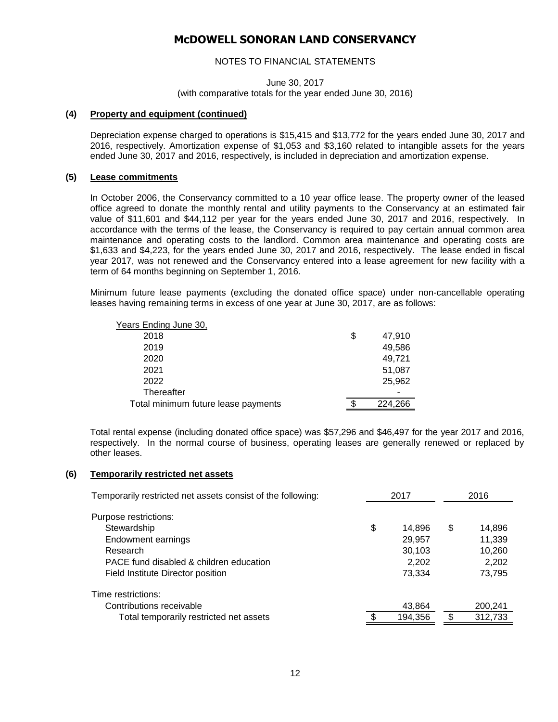### NOTES TO FINANCIAL STATEMENTS

June 30, 2017 (with comparative totals for the year ended June 30, 2016)

#### **(4) Property and equipment (continued)**

Depreciation expense charged to operations is \$15,415 and \$13,772 for the years ended June 30, 2017 and 2016, respectively. Amortization expense of \$1,053 and \$3,160 related to intangible assets for the years ended June 30, 2017 and 2016, respectively, is included in depreciation and amortization expense.

#### **(5) Lease commitments**

In October 2006, the Conservancy committed to a 10 year office lease. The property owner of the leased office agreed to donate the monthly rental and utility payments to the Conservancy at an estimated fair value of \$11,601 and \$44,112 per year for the years ended June 30, 2017 and 2016, respectively. In accordance with the terms of the lease, the Conservancy is required to pay certain annual common area maintenance and operating costs to the landlord. Common area maintenance and operating costs are \$1,633 and \$4,223, for the years ended June 30, 2017 and 2016, respectively. The lease ended in fiscal year 2017, was not renewed and the Conservancy entered into a lease agreement for new facility with a term of 64 months beginning on September 1, 2016.

Minimum future lease payments (excluding the donated office space) under non-cancellable operating leases having remaining terms in excess of one year at June 30, 2017, are as follows:

| Years Ending June 30,               |   |         |
|-------------------------------------|---|---------|
| 2018                                | S | 47,910  |
| 2019                                |   | 49,586  |
| 2020                                |   | 49,721  |
| 2021                                |   | 51,087  |
| 2022                                |   | 25,962  |
| Thereafter                          |   |         |
| Total minimum future lease payments |   | 224,266 |

Total rental expense (including donated office space) was \$57,296 and \$46,497 for the year 2017 and 2016, respectively. In the normal course of business, operating leases are generally renewed or replaced by other leases.

#### **(6) Temporarily restricted net assets**

| Temporarily restricted net assets consist of the following: |    | 2017    | 2016 |         |  |
|-------------------------------------------------------------|----|---------|------|---------|--|
| Purpose restrictions:                                       |    |         |      |         |  |
| Stewardship                                                 | \$ | 14.896  | \$   | 14,896  |  |
| Endowment earnings                                          |    | 29,957  |      | 11,339  |  |
| Research                                                    |    | 30,103  |      | 10,260  |  |
| PACE fund disabled & children education                     |    | 2,202   |      | 2,202   |  |
| Field Institute Director position                           |    | 73.334  |      | 73.795  |  |
| Time restrictions:                                          |    |         |      |         |  |
| Contributions receivable                                    |    | 43,864  |      | 200,241 |  |
| Total temporarily restricted net assets                     | S  | 194,356 | \$   | 312,733 |  |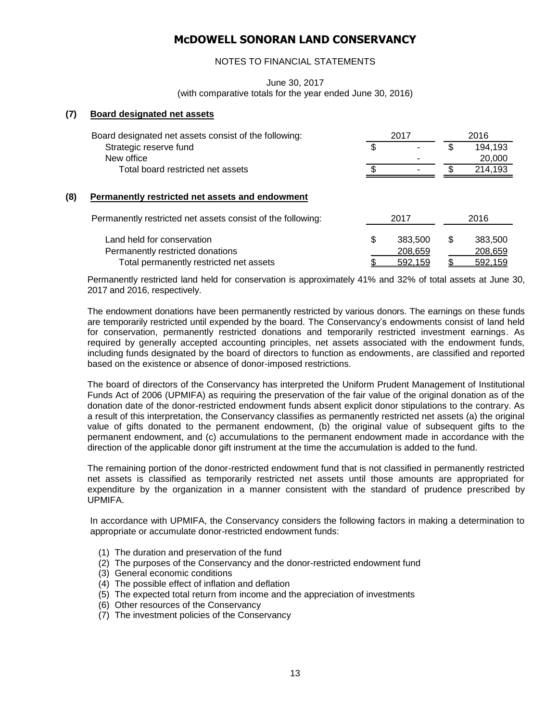### NOTES TO FINANCIAL STATEMENTS

June 30, 2017

(with comparative totals for the year ended June 30, 2016)

#### **(7) Board designated net assets**

|     | Board designated net assets consist of the following:                                                          |    | 2017                          |    | 2016                          |  |  |
|-----|----------------------------------------------------------------------------------------------------------------|----|-------------------------------|----|-------------------------------|--|--|
|     | Strategic reserve fund                                                                                         | \$ |                               |    | 194,193                       |  |  |
|     | New office                                                                                                     |    |                               |    | 20,000                        |  |  |
|     | Total board restricted net assets                                                                              | £. |                               | £. | 214,193                       |  |  |
| (8) | Permanently restricted net assets and endowment<br>Permanently restricted net assets consist of the following: |    | 2017                          |    | 2016                          |  |  |
|     | Land held for conservation<br>Permanently restricted donations<br>Total permanently restricted net assets      | \$ | 383,500<br>208,659<br>592.159 | \$ | 383,500<br>208,659<br>592.159 |  |  |

Permanently restricted land held for conservation is approximately 41% and 32% of total assets at June 30, 2017 and 2016, respectively.

The endowment donations have been permanently restricted by various donors. The earnings on these funds are temporarily restricted until expended by the board. The Conservancy's endowments consist of land held for conservation, permanently restricted donations and temporarily restricted investment earnings. As required by generally accepted accounting principles, net assets associated with the endowment funds, including funds designated by the board of directors to function as endowments, are classified and reported based on the existence or absence of donor-imposed restrictions.

The board of directors of the Conservancy has interpreted the Uniform Prudent Management of Institutional Funds Act of 2006 (UPMIFA) as requiring the preservation of the fair value of the original donation as of the donation date of the donor-restricted endowment funds absent explicit donor stipulations to the contrary. As a result of this interpretation, the Conservancy classifies as permanently restricted net assets (a) the original value of gifts donated to the permanent endowment, (b) the original value of subsequent gifts to the permanent endowment, and (c) accumulations to the permanent endowment made in accordance with the direction of the applicable donor gift instrument at the time the accumulation is added to the fund.

The remaining portion of the donor-restricted endowment fund that is not classified in permanently restricted net assets is classified as temporarily restricted net assets until those amounts are appropriated for expenditure by the organization in a manner consistent with the standard of prudence prescribed by UPMIFA.

In accordance with UPMIFA, the Conservancy considers the following factors in making a determination to appropriate or accumulate donor-restricted endowment funds:

- (1) The duration and preservation of the fund
- (2) The purposes of the Conservancy and the donor-restricted endowment fund
- (3) General economic conditions
- (4) The possible effect of inflation and deflation
- (5) The expected total return from income and the appreciation of investments
- (6) Other resources of the Conservancy
- (7) The investment policies of the Conservancy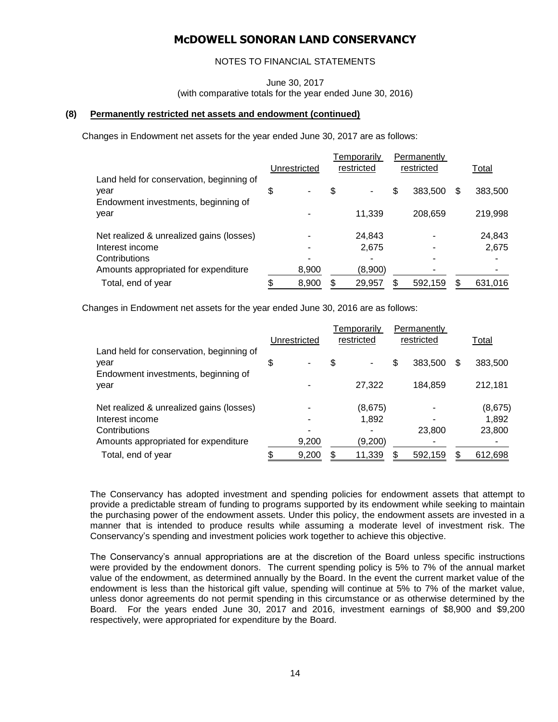### NOTES TO FINANCIAL STATEMENTS

June 30, 2017

(with comparative totals for the year ended June 30, 2016)

### **(8) Permanently restricted net assets and endowment (continued)**

Changes in Endowment net assets for the year ended June 30, 2017 are as follows:

|                                                                                         | Unrestricted |       | Temporarily<br>restricted |         | Permanently<br>restricted |         |   | Total   |
|-----------------------------------------------------------------------------------------|--------------|-------|---------------------------|---------|---------------------------|---------|---|---------|
| Land held for conservation, beginning of<br>year<br>Endowment investments, beginning of |              | ٠     | \$                        |         | \$                        | 383,500 | S | 383,500 |
| year                                                                                    |              |       |                           | 11,339  |                           | 208,659 |   | 219,998 |
| Net realized & unrealized gains (losses)                                                |              |       |                           | 24,843  |                           |         |   | 24,843  |
| Interest income                                                                         |              |       |                           | 2,675   |                           |         |   | 2,675   |
| Contributions                                                                           |              |       |                           |         |                           |         |   | ۰       |
| Amounts appropriated for expenditure                                                    |              | 8,900 |                           | (8,900) |                           |         |   |         |
| Total, end of year                                                                      |              | 8,900 |                           | 29,957  | \$                        | 592,159 |   | 631,016 |

Changes in Endowment net assets for the year ended June 30, 2016 are as follows:

|                                                                                         |              |       |            | Temporarily |            | Permanently |   |         |
|-----------------------------------------------------------------------------------------|--------------|-------|------------|-------------|------------|-------------|---|---------|
|                                                                                         | Unrestricted |       | restricted |             | restricted |             |   | Total   |
| Land held for conservation, beginning of<br>year<br>Endowment investments, beginning of | \$           | ٠     | \$         | ۰           | \$         | 383,500     | S | 383,500 |
| year                                                                                    |              |       |            | 27,322      |            | 184,859     |   | 212,181 |
| Net realized & unrealized gains (losses)                                                |              |       |            | (8,675)     |            |             |   | (8,675) |
| Interest income                                                                         |              |       |            | 1,892       |            |             |   | 1,892   |
| Contributions                                                                           |              | ۰     |            |             |            | 23,800      |   | 23,800  |
| Amounts appropriated for expenditure                                                    |              | 9,200 |            | (9,200)     |            |             |   |         |
| Total, end of year                                                                      |              | 9,200 |            | 11,339      |            | 592,159     |   | 612,698 |

The Conservancy has adopted investment and spending policies for endowment assets that attempt to provide a predictable stream of funding to programs supported by its endowment while seeking to maintain the purchasing power of the endowment assets. Under this policy, the endowment assets are invested in a manner that is intended to produce results while assuming a moderate level of investment risk. The Conservancy's spending and investment policies work together to achieve this objective.

The Conservancy's annual appropriations are at the discretion of the Board unless specific instructions were provided by the endowment donors. The current spending policy is 5% to 7% of the annual market value of the endowment, as determined annually by the Board. In the event the current market value of the endowment is less than the historical gift value, spending will continue at 5% to 7% of the market value, unless donor agreements do not permit spending in this circumstance or as otherwise determined by the Board. For the years ended June 30, 2017 and 2016, investment earnings of \$8,900 and \$9,200 respectively, were appropriated for expenditure by the Board.